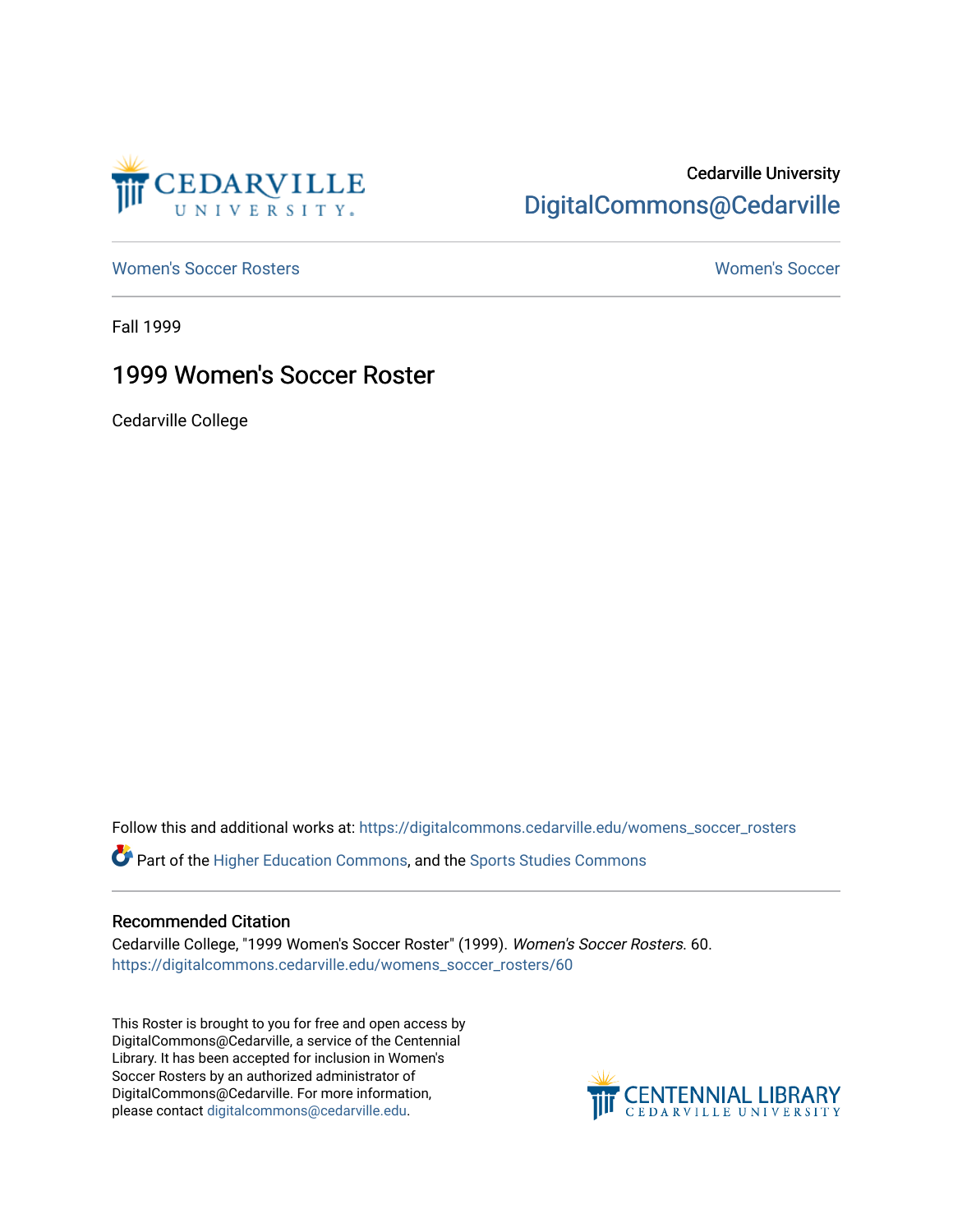

### Cedarville University [DigitalCommons@Cedarville](https://digitalcommons.cedarville.edu/)

[Women's Soccer Rosters](https://digitalcommons.cedarville.edu/womens_soccer_rosters) [Women's Soccer](https://digitalcommons.cedarville.edu/womens_soccer) 

Fall 1999

#### 1999 Women's Soccer Roster

Cedarville College

Follow this and additional works at: [https://digitalcommons.cedarville.edu/womens\\_soccer\\_rosters](https://digitalcommons.cedarville.edu/womens_soccer_rosters?utm_source=digitalcommons.cedarville.edu%2Fwomens_soccer_rosters%2F60&utm_medium=PDF&utm_campaign=PDFCoverPages) 

Part of the [Higher Education Commons,](http://network.bepress.com/hgg/discipline/1245?utm_source=digitalcommons.cedarville.edu%2Fwomens_soccer_rosters%2F60&utm_medium=PDF&utm_campaign=PDFCoverPages) and the [Sports Studies Commons](http://network.bepress.com/hgg/discipline/1198?utm_source=digitalcommons.cedarville.edu%2Fwomens_soccer_rosters%2F60&utm_medium=PDF&utm_campaign=PDFCoverPages) 

#### Recommended Citation

Cedarville College, "1999 Women's Soccer Roster" (1999). Women's Soccer Rosters. 60. [https://digitalcommons.cedarville.edu/womens\\_soccer\\_rosters/60](https://digitalcommons.cedarville.edu/womens_soccer_rosters/60?utm_source=digitalcommons.cedarville.edu%2Fwomens_soccer_rosters%2F60&utm_medium=PDF&utm_campaign=PDFCoverPages)

This Roster is brought to you for free and open access by DigitalCommons@Cedarville, a service of the Centennial Library. It has been accepted for inclusion in Women's Soccer Rosters by an authorized administrator of DigitalCommons@Cedarville. For more information, please contact [digitalcommons@cedarville.edu](mailto:digitalcommons@cedarville.edu).